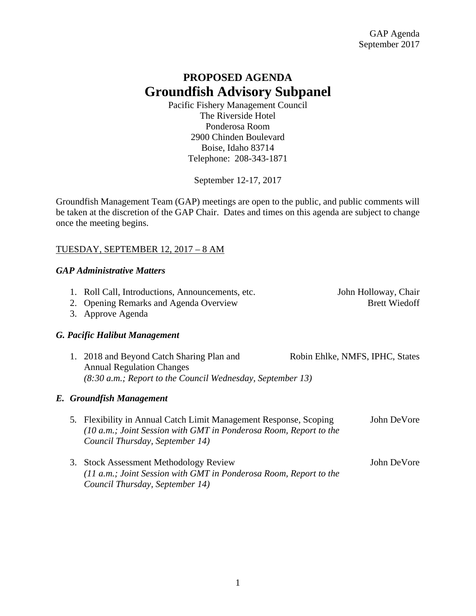# **PROPOSED AGENDA Groundfish Advisory Subpanel**

Pacific Fishery Management Council The Riverside Hotel Ponderosa Room 2900 Chinden Boulevard Boise, Idaho 83714 Telephone: 208-343-1871

September 12-17, 2017

Groundfish Management Team (GAP) meetings are open to the public, and public comments will be taken at the discretion of the GAP Chair. Dates and times on this agenda are subject to change once the meeting begins.

### TUESDAY, SEPTEMBER 12, 2017 – 8 AM

# *GAP Administrative Matters*

| 1. Roll Call, Introductions, Announcements, etc. | John Holloway, Chair |
|--------------------------------------------------|----------------------|
|--------------------------------------------------|----------------------|

2. Opening Remarks and Agenda Overview Brett Wiedoff

3. Approve Agenda

# *G. Pacific Halibut Management*

| 1. 2018 and Beyond Catch Sharing Plan and                    | Robin Ehlke, NMFS, IPHC, States |
|--------------------------------------------------------------|---------------------------------|
| <b>Annual Regulation Changes</b>                             |                                 |
| $(8:30 a.m.;$ Report to the Council Wednesday, September 13) |                                 |

#### *E. Groundfish Management*

- 5*.* Flexibility in Annual Catch Limit Management Response, Scoping John DeVore *(10 a.m.; Joint Session with GMT in Ponderosa Room, Report to the Council Thursday, September 14)*
- 3. Stock Assessment Methodology Review John DeVore *(11 a.m.; Joint Session with GMT in Ponderosa Room, Report to the Council Thursday, September 14)*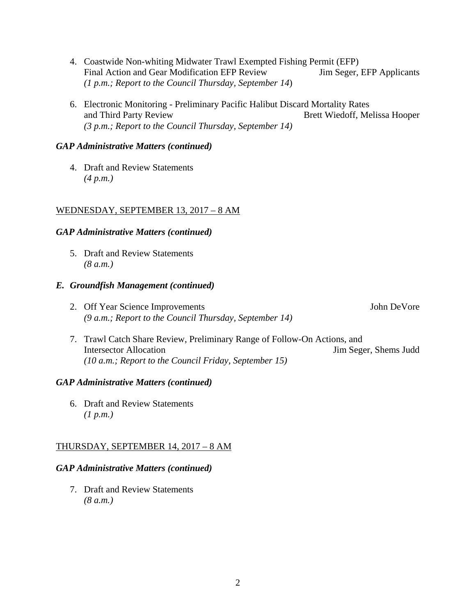- 4. Coastwide Non-whiting Midwater Trawl Exempted Fishing Permit (EFP) Final Action and Gear Modification EFP Review Jim Seger, EFP Applicants *(1 p.m.; Report to the Council Thursday, September 14*)
- 6. Electronic Monitoring Preliminary Pacific Halibut Discard Mortality Rates and Third Party Review Brett Wiedoff, Melissa Hooper *(3 p.m.; Report to the Council Thursday, September 14)*

# *GAP Administrative Matters (continued)*

4. Draft and Review Statements *(4 p.m.)*

### WEDNESDAY, SEPTEMBER 13, 2017 – 8 AM

### *GAP Administrative Matters (continued)*

5. Draft and Review Statements *(8 a.m.)*

#### *E. Groundfish Management (continued)*

2. Off Year Science Improvements **Solution** John DeVore *(9 a.m.; Report to the Council Thursday, September 14)*

7. Trawl Catch Share Review, Preliminary Range of Follow-On Actions, and Intersector Allocation Jim Seger, Shems Judd *(10 a.m.; Report to the Council Friday, September 15)*

#### *GAP Administrative Matters (continued)*

6. Draft and Review Statements *(1 p.m.)*

# THURSDAY, SEPTEMBER 14, 2017 – 8 AM

# *GAP Administrative Matters (continued)*

7. Draft and Review Statements *(8 a.m.)*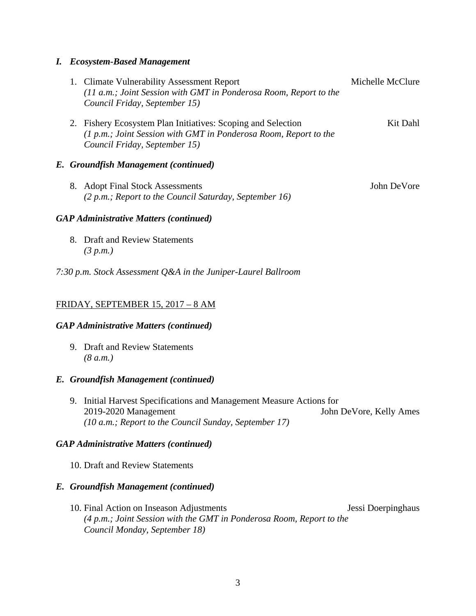#### *I. Ecosystem-Based Management*

|  | 1. Climate Vulnerability Assessment Report<br>(11 a.m.; Joint Session with GMT in Ponderosa Room, Report to the<br>Council Friday, September 15)                  | Michelle McClure |
|--|-------------------------------------------------------------------------------------------------------------------------------------------------------------------|------------------|
|  | 2. Fishery Ecosystem Plan Initiatives: Scoping and Selection<br>(1 p.m.; Joint Session with GMT in Ponderosa Room, Report to the<br>Council Friday, September 15) | Kit Dahl         |
|  | E. Groundfish Management (continued)                                                                                                                              |                  |
|  | 8. Adopt Final Stock Assessments<br>$(2 p.m.; Report to the Council Saturday, September 16)$                                                                      | John DeVore      |
|  | <b>GAP Administrative Matters (continued)</b>                                                                                                                     |                  |

8. Draft and Review Statements *(3 p.m.)*

*7:30 p.m. Stock Assessment Q&A in the Juniper-Laurel Ballroom*

# FRIDAY, SEPTEMBER 15, 2017 – 8 AM

#### *GAP Administrative Matters (continued)*

9. Draft and Review Statements *(8 a.m.)*

#### *E. Groundfish Management (continued)*

9. Initial Harvest Specifications and Management Measure Actions for 2019-2020 Management John DeVore, Kelly Ames *(10 a.m.; Report to the Council Sunday, September 17)*

# *GAP Administrative Matters (continued)*

10. Draft and Review Statements

### *E. Groundfish Management (continued)*

10. Final Action on Inseason Adjustments Jessi Doerpinghaus *(4 p.m.; Joint Session with the GMT in Ponderosa Room, Report to the Council Monday, September 18)*